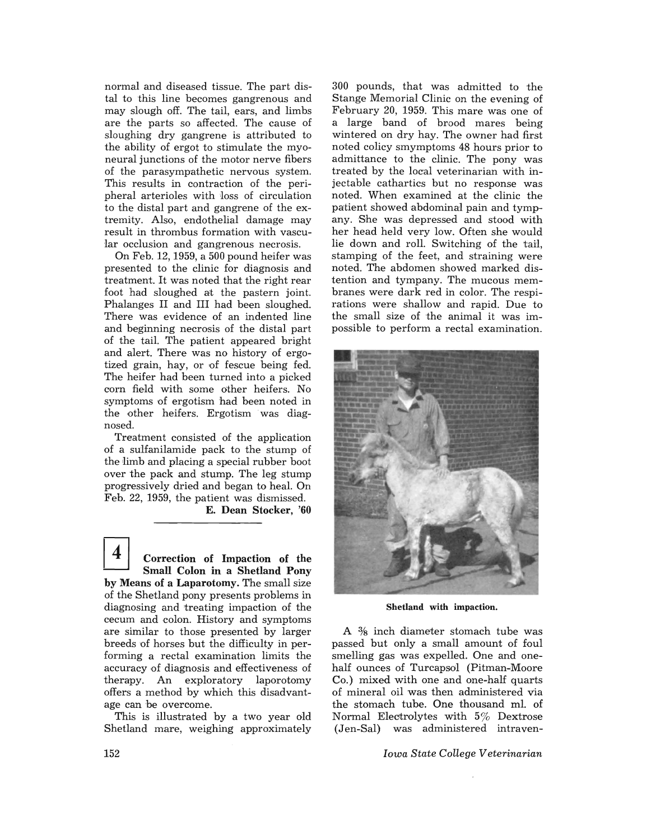normal and diseased tissue. The part distal to this line becomes gangrenous and may slough off. The tail, ears, and limbs are the parts so affected. The cause of sloughing dry gangrene is attributed to the ability of ergot to stimulate the myoneural junctions of the motor nerve fibers 'Of the parasympathetic nervaus system. This results in contraction of the peripheral arterioles with loss of circulation to the distal part and gangrene of the extremity. Also, endothelial damage may result in thrombus formation with vascular occlusion and gangrenous necrosis.

On Feb. 12, 1959, a 500 pound heifer was presented to the clinic for diagnosis and treatment. It was noted that the right rear foot had sloughed at the pastern joint. Phalanges II and III had been sloughed. There was evidence of an indented line and beginning necrosis of the distal part of the tail. The patient appeared bright and alert. There was no history of ergotized grain, hay, or of fescue being fed. The heifer had been turned into a picked corn field with some other heifers. No symptoms of ergotism had been noted in the other heifers. Ergotism was diagnosed.

Treatment consisted of the application of a sulfanilamide pack to the stump of the limb and placing a special rubber boot over the pack and stump. The leg stump progressively dried and began to heal. On Feb. 22, 1959, the patient was dismissed.

**E. Dean Stocker, '60** 

4 **Correction of Impaction of the Small Colon in a Shetland Pony by Means of a Laparotomy.** The small size of the Shetland pony presents problems in diagnosing and treating impaction of the cecum and colon. History and symptoms are similar to those presented by larger breeds of horses but the difficulty in performing a rectal examination limits the accuracy of diagnosis and effectiveness of therapy. An exploratory laporotomy offers a method by which this disadvantage can be overcome.

This is illustrated by a two year old Shetland mare, weighing approximately

300 paunds, that was admitted to the Stange Memorial Clinic on the evening of February 20, 1959. This mare was one of a large band of brood mares being wintered an dry hay. The owner had first noted colicy smymptoms 48 hours prior to admittance to the clinic. The pony was treated by the local veterinarian with injectable cathartics but no response was noted. When examined at the clinic the patient showed abdominal pain and tympany. She was depressed and stood with her head held very low. Often she would lie down and roll. Switching of the tail, stamping of the feet, and straining were noted. The abdomen showed marked distention and tympany. The mucous membranes were dark red in color. The respirations were shallow and rapid. Due to the small size of the animal it was impossible to perform a rectal examination.



**Shetland with impaction.** 

A  $\frac{3}{8}$  inch diameter stomach tube was passed but only a small amount of foul smelling gas was expelled. One and onehalf ounces of Turcapsol (Pitman-Moore Co.) mixed with one and one-half quarts of mineral oil was then administered via the stomach tube. One thousand ml. of Normal Electrolytes with  $5\%$  Dextrose (Jen-Sal) was administered intraven-

*Iowa State College Veterinarian*